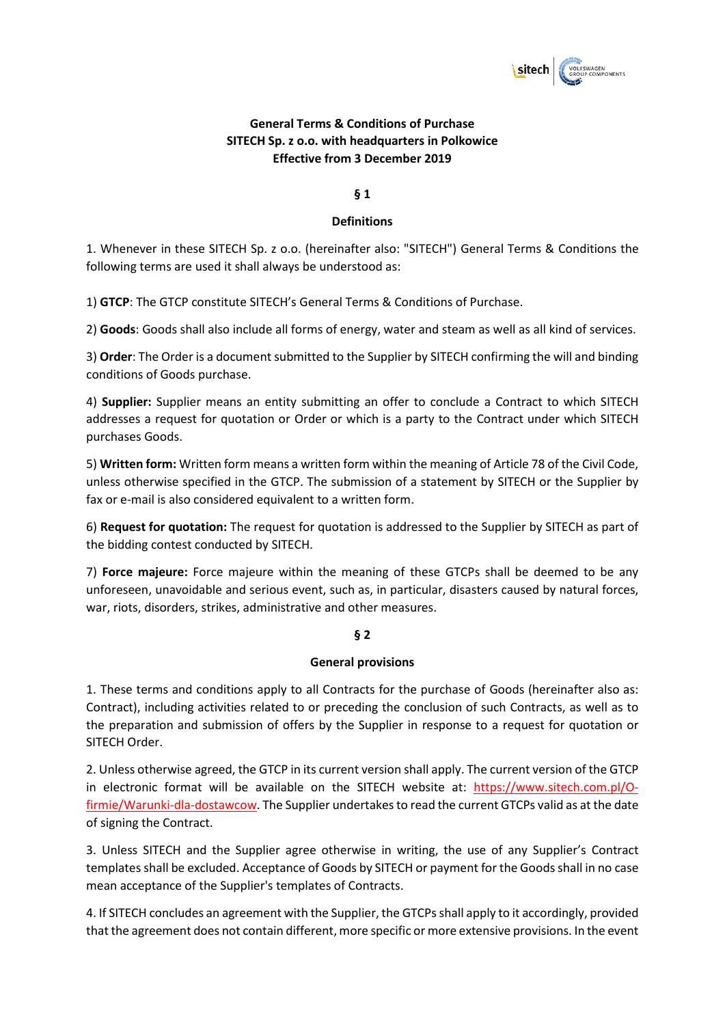

# **General Terms & Conditions of Purchase SITECH Sp. z o.o. with headquarters in Polkowice Effective from 3 December 2019**

### **§ 1**

### **Definitions**

1. Whenever in these SITECH Sp. z o.o. (hereinafter also: "SITECH") General Terms & Conditions the following terms are used it shall always be understood as:

1) **GTCP**: The GTCP constitute SITECH's General Terms & Conditions of Purchase.

2) **Goods**: Goods shall also include all forms of energy, water and steam as well as all kind of services.

3) **Order**: The Order is a document submitted to the Supplier by SITECH confirming the will and binding conditions of Goods purchase.

4) **Supplier:** Supplier means an entity submitting an offer to conclude a Contract to which SITECH addresses a request for quotation or Order or which is a party to the Contract under which SITECH purchases Goods.

5) **Written form:** Written form means a written form within the meaning of Article 78 of the Civil Code, unless otherwise specified in the GTCP. The submission of a statement by SITECH or the Supplier by fax or e-mail is also considered equivalent to a written form.

6) **Request for quotation:** The request for quotation is addressed to the Supplier by SITECH as part of the bidding contest conducted by SITECH.

7) **Force majeure:** Force majeure within the meaning of these GTCPs shall be deemed to be any unforeseen, unavoidable and serious event, such as, in particular, disasters caused by natural forces, war, riots, disorders, strikes, administrative and other measures.

### **§ 2**

### **General provisions**

1. These terms and conditions apply to all Contracts for the purchase of Goods (hereinafter also as: Contract), including activities related to or preceding the conclusion of such Contracts, as well as to the preparation and submission of offers by the Supplier in response to a request for quotation or SITECH Order.

2. Unless otherwise agreed, the GTCP in its current version shall apply. The current version of the GTCP in electronic format will be available on the SITECH website at: https://www.sitech.com.pl/Ofirmie/Warunki-dla-dostawcow. The Supplier undertakes to read the current GTCPs valid as at the date of signing the Contract.

3. Unless SITECH and the Supplier agree otherwise in writing, the use of any Supplier's Contract templates shall be excluded. Acceptance of Goods by SITECH or payment for the Goods shall in no case mean acceptance of the Supplier's templates of Contracts.

4. If SITECH concludes an agreement with the Supplier, the GTCPs shall apply to it accordingly, provided that the agreement does not contain different, more specific or more extensive provisions. In the event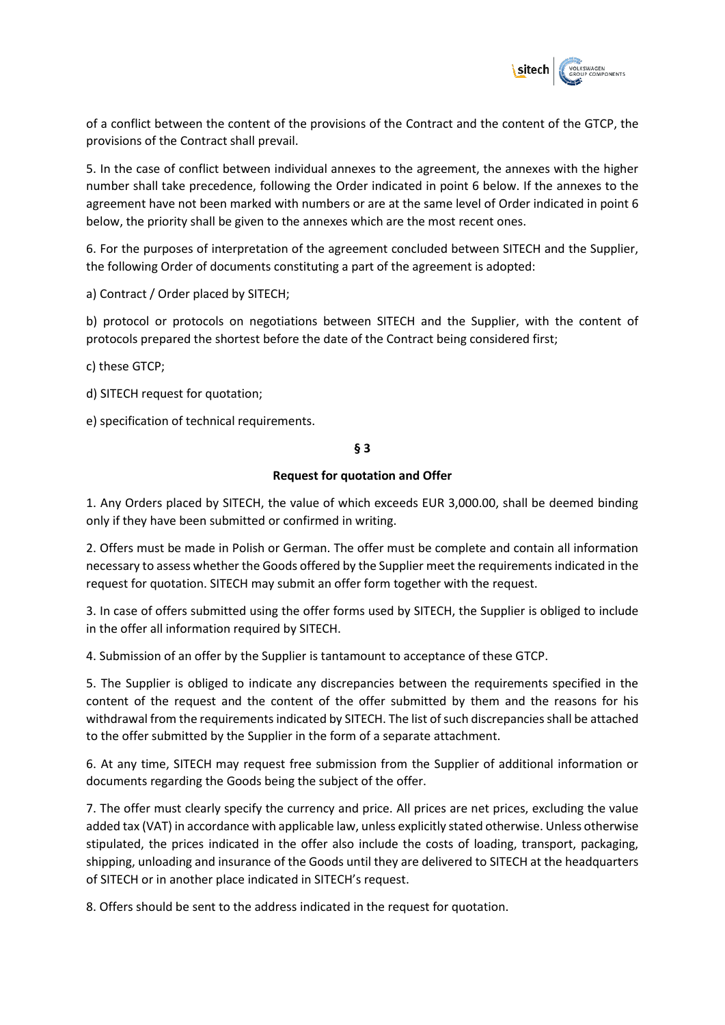

of a conflict between the content of the provisions of the Contract and the content of the GTCP, the provisions of the Contract shall prevail.

5. In the case of conflict between individual annexes to the agreement, the annexes with the higher number shall take precedence, following the Order indicated in point 6 below. If the annexes to the agreement have not been marked with numbers or are at the same level of Order indicated in point 6 below, the priority shall be given to the annexes which are the most recent ones.

6. For the purposes of interpretation of the agreement concluded between SITECH and the Supplier, the following Order of documents constituting a part of the agreement is adopted:

a) Contract / Order placed by SITECH;

b) protocol or protocols on negotiations between SITECH and the Supplier, with the content of protocols prepared the shortest before the date of the Contract being considered first;

c) these GTCP;

d) SITECH request for quotation;

e) specification of technical requirements.

**§ 3**

#### **Request for quotation and Offer**

1. Any Orders placed by SITECH, the value of which exceeds EUR 3,000.00, shall be deemed binding only if they have been submitted or confirmed in writing.

2. Offers must be made in Polish or German. The offer must be complete and contain all information necessary to assess whether the Goods offered by the Supplier meet the requirements indicated in the request for quotation. SITECH may submit an offer form together with the request.

3. In case of offers submitted using the offer forms used by SITECH, the Supplier is obliged to include in the offer all information required by SITECH.

4. Submission of an offer by the Supplier is tantamount to acceptance of these GTCP.

5. The Supplier is obliged to indicate any discrepancies between the requirements specified in the content of the request and the content of the offer submitted by them and the reasons for his withdrawal from the requirements indicated by SITECH. The list of such discrepancies shall be attached to the offer submitted by the Supplier in the form of a separate attachment.

6. At any time, SITECH may request free submission from the Supplier of additional information or documents regarding the Goods being the subject of the offer.

7. The offer must clearly specify the currency and price. All prices are net prices, excluding the value added tax (VAT) in accordance with applicable law, unless explicitly stated otherwise. Unless otherwise stipulated, the prices indicated in the offer also include the costs of loading, transport, packaging, shipping, unloading and insurance of the Goods until they are delivered to SITECH at the headquarters of SITECH or in another place indicated in SITECH's request.

8. Offers should be sent to the address indicated in the request for quotation.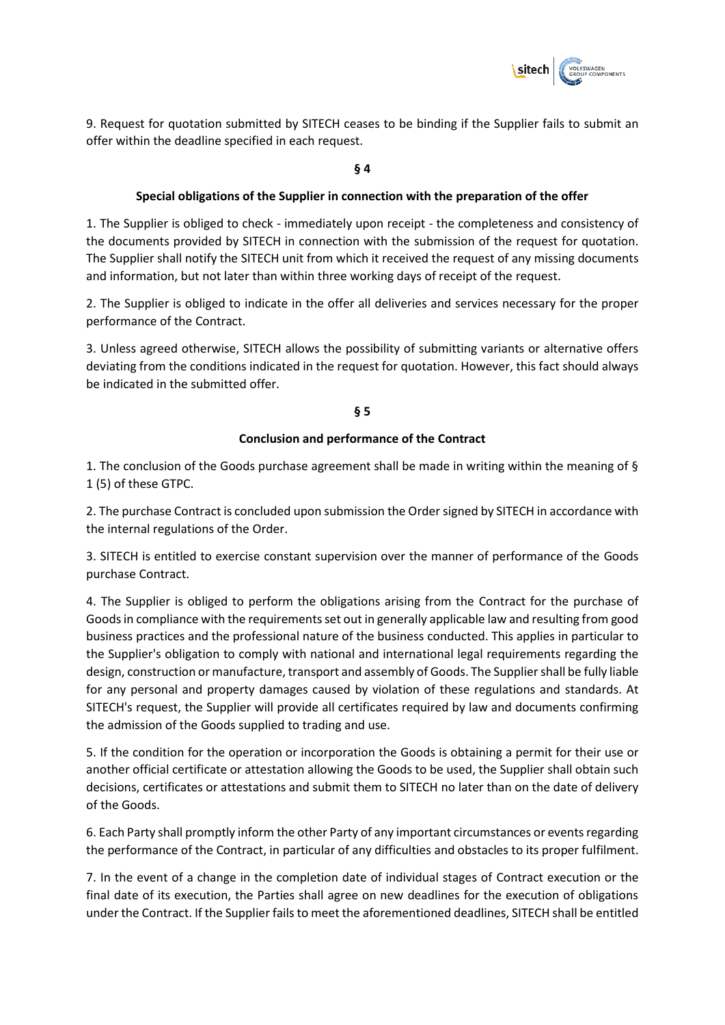

9. Request for quotation submitted by SITECH ceases to be binding if the Supplier fails to submit an offer within the deadline specified in each request.

### **§ 4**

### **Special obligations of the Supplier in connection with the preparation of the offer**

1. The Supplier is obliged to check - immediately upon receipt - the completeness and consistency of the documents provided by SITECH in connection with the submission of the request for quotation. The Supplier shall notify the SITECH unit from which it received the request of any missing documents and information, but not later than within three working days of receipt of the request.

2. The Supplier is obliged to indicate in the offer all deliveries and services necessary for the proper performance of the Contract.

3. Unless agreed otherwise, SITECH allows the possibility of submitting variants or alternative offers deviating from the conditions indicated in the request for quotation. However, this fact should always be indicated in the submitted offer.

### **§ 5**

### **Conclusion and performance of the Contract**

1. The conclusion of the Goods purchase agreement shall be made in writing within the meaning of § 1 (5) of these GTPC.

2. The purchase Contract is concluded upon submission the Order signed by SITECH in accordance with the internal regulations of the Order.

3. SITECH is entitled to exercise constant supervision over the manner of performance of the Goods purchase Contract.

4. The Supplier is obliged to perform the obligations arising from the Contract for the purchase of Goods in compliance with the requirements set out in generally applicable law and resulting from good business practices and the professional nature of the business conducted. This applies in particular to the Supplier's obligation to comply with national and international legal requirements regarding the design, construction or manufacture, transport and assembly of Goods. The Supplier shall be fully liable for any personal and property damages caused by violation of these regulations and standards. At SITECH's request, the Supplier will provide all certificates required by law and documents confirming the admission of the Goods supplied to trading and use.

5. If the condition for the operation or incorporation the Goods is obtaining a permit for their use or another official certificate or attestation allowing the Goods to be used, the Supplier shall obtain such decisions, certificates or attestations and submit them to SITECH no later than on the date of delivery of the Goods.

6. Each Party shall promptly inform the other Party of any important circumstances or events regarding the performance of the Contract, in particular of any difficulties and obstacles to its proper fulfilment.

7. In the event of a change in the completion date of individual stages of Contract execution or the final date of its execution, the Parties shall agree on new deadlines for the execution of obligations under the Contract. If the Supplier fails to meet the aforementioned deadlines, SITECH shall be entitled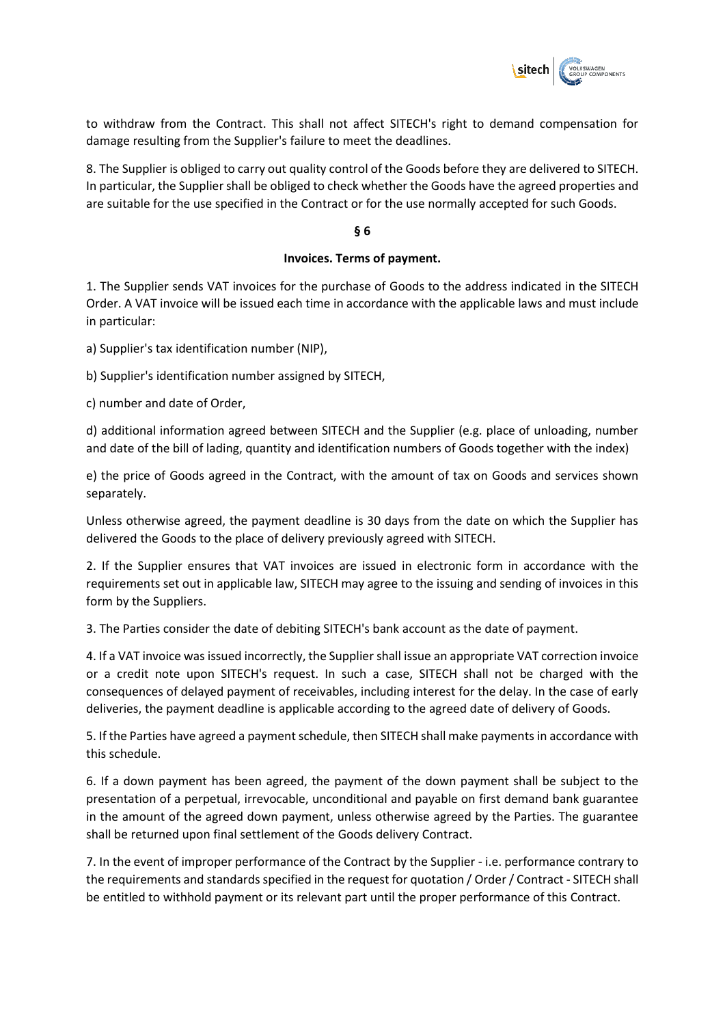

to withdraw from the Contract. This shall not affect SITECH's right to demand compensation for damage resulting from the Supplier's failure to meet the deadlines.

8. The Supplier is obliged to carry out quality control of the Goods before they are delivered to SITECH. In particular, the Supplier shall be obliged to check whether the Goods have the agreed properties and are suitable for the use specified in the Contract or for the use normally accepted for such Goods.

#### **§ 6**

### **Invoices. Terms of payment.**

1. The Supplier sends VAT invoices for the purchase of Goods to the address indicated in the SITECH Order. A VAT invoice will be issued each time in accordance with the applicable laws and must include in particular:

a) Supplier's tax identification number (NIP),

b) Supplier's identification number assigned by SITECH,

c) number and date of Order,

d) additional information agreed between SITECH and the Supplier (e.g. place of unloading, number and date of the bill of lading, quantity and identification numbers of Goods together with the index)

e) the price of Goods agreed in the Contract, with the amount of tax on Goods and services shown separately.

Unless otherwise agreed, the payment deadline is 30 days from the date on which the Supplier has delivered the Goods to the place of delivery previously agreed with SITECH.

2. If the Supplier ensures that VAT invoices are issued in electronic form in accordance with the requirements set out in applicable law, SITECH may agree to the issuing and sending of invoices in this form by the Suppliers.

3. The Parties consider the date of debiting SITECH's bank account as the date of payment.

4. If a VAT invoice was issued incorrectly, the Supplier shall issue an appropriate VAT correction invoice or a credit note upon SITECH's request. In such a case, SITECH shall not be charged with the consequences of delayed payment of receivables, including interest for the delay. In the case of early deliveries, the payment deadline is applicable according to the agreed date of delivery of Goods.

5. If the Parties have agreed a payment schedule, then SITECH shall make payments in accordance with this schedule.

6. If a down payment has been agreed, the payment of the down payment shall be subject to the presentation of a perpetual, irrevocable, unconditional and payable on first demand bank guarantee in the amount of the agreed down payment, unless otherwise agreed by the Parties. The guarantee shall be returned upon final settlement of the Goods delivery Contract.

7. In the event of improper performance of the Contract by the Supplier - i.e. performance contrary to the requirements and standards specified in the request for quotation / Order / Contract - SITECH shall be entitled to withhold payment or its relevant part until the proper performance of this Contract.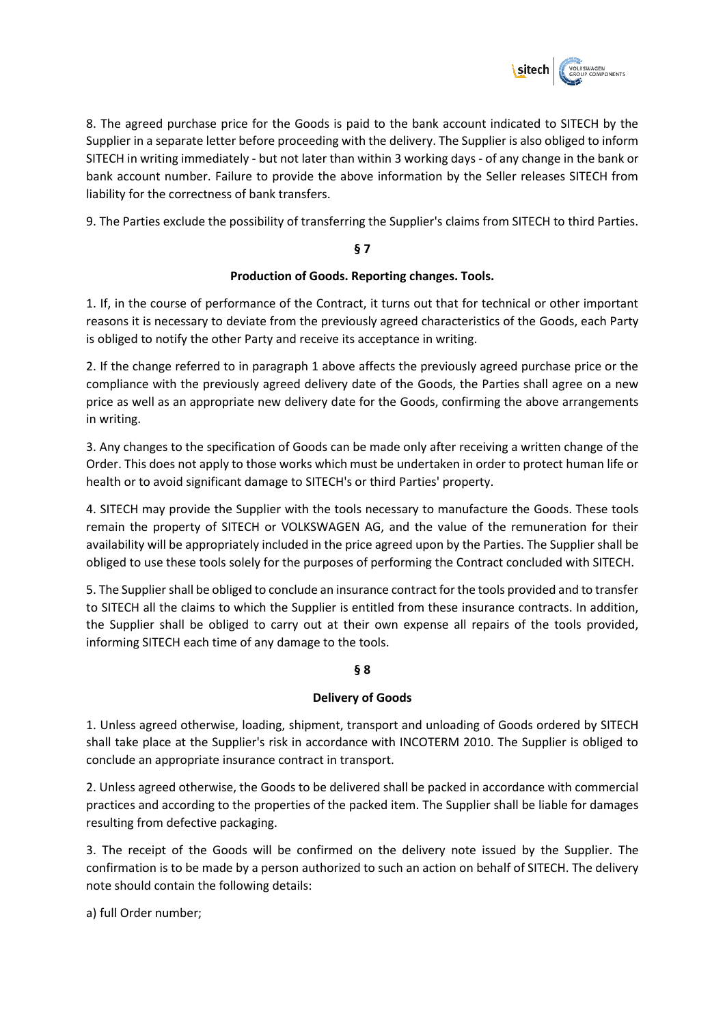

8. The agreed purchase price for the Goods is paid to the bank account indicated to SITECH by the Supplier in a separate letter before proceeding with the delivery. The Supplier is also obliged to inform SITECH in writing immediately - but not later than within 3 working days - of any change in the bank or bank account number. Failure to provide the above information by the Seller releases SITECH from liability for the correctness of bank transfers.

9. The Parties exclude the possibility of transferring the Supplier's claims from SITECH to third Parties.

# **§ 7**

## **Production of Goods. Reporting changes. Tools.**

1. If, in the course of performance of the Contract, it turns out that for technical or other important reasons it is necessary to deviate from the previously agreed characteristics of the Goods, each Party is obliged to notify the other Party and receive its acceptance in writing.

2. If the change referred to in paragraph 1 above affects the previously agreed purchase price or the compliance with the previously agreed delivery date of the Goods, the Parties shall agree on a new price as well as an appropriate new delivery date for the Goods, confirming the above arrangements in writing.

3. Any changes to the specification of Goods can be made only after receiving a written change of the Order. This does not apply to those works which must be undertaken in order to protect human life or health or to avoid significant damage to SITECH's or third Parties' property.

4. SITECH may provide the Supplier with the tools necessary to manufacture the Goods. These tools remain the property of SITECH or VOLKSWAGEN AG, and the value of the remuneration for their availability will be appropriately included in the price agreed upon by the Parties. The Supplier shall be obliged to use these tools solely for the purposes of performing the Contract concluded with SITECH.

5. The Supplier shall be obliged to conclude an insurance contract for the tools provided and to transfer to SITECH all the claims to which the Supplier is entitled from these insurance contracts. In addition, the Supplier shall be obliged to carry out at their own expense all repairs of the tools provided, informing SITECH each time of any damage to the tools.

## **§ 8**

## **Delivery of Goods**

1. Unless agreed otherwise, loading, shipment, transport and unloading of Goods ordered by SITECH shall take place at the Supplier's risk in accordance with INCOTERM 2010. The Supplier is obliged to conclude an appropriate insurance contract in transport.

2. Unless agreed otherwise, the Goods to be delivered shall be packed in accordance with commercial practices and according to the properties of the packed item. The Supplier shall be liable for damages resulting from defective packaging.

3. The receipt of the Goods will be confirmed on the delivery note issued by the Supplier. The confirmation is to be made by a person authorized to such an action on behalf of SITECH. The delivery note should contain the following details:

a) full Order number;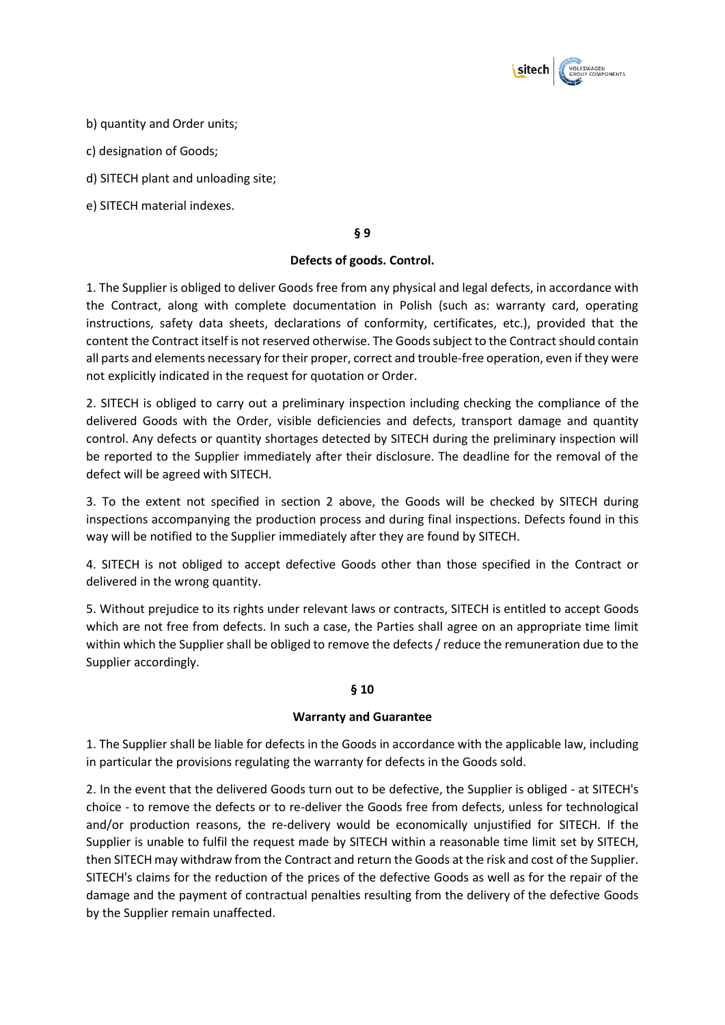

b) quantity and Order units;

c) designation of Goods;

d) SITECH plant and unloading site;

e) SITECH material indexes.

**§ 9** 

### **Defects of goods. Control.**

1. The Supplier is obliged to deliver Goods free from any physical and legal defects, in accordance with the Contract, along with complete documentation in Polish (such as: warranty card, operating instructions, safety data sheets, declarations of conformity, certificates, etc.), provided that the content the Contract itself is not reserved otherwise. The Goods subject to the Contract should contain all parts and elements necessary for their proper, correct and trouble-free operation, even if they were not explicitly indicated in the request for quotation or Order.

2. SITECH is obliged to carry out a preliminary inspection including checking the compliance of the delivered Goods with the Order, visible deficiencies and defects, transport damage and quantity control. Any defects or quantity shortages detected by SITECH during the preliminary inspection will be reported to the Supplier immediately after their disclosure. The deadline for the removal of the defect will be agreed with SITECH.

3. To the extent not specified in section 2 above, the Goods will be checked by SITECH during inspections accompanying the production process and during final inspections. Defects found in this way will be notified to the Supplier immediately after they are found by SITECH.

4. SITECH is not obliged to accept defective Goods other than those specified in the Contract or delivered in the wrong quantity.

5. Without prejudice to its rights under relevant laws or contracts, SITECH is entitled to accept Goods which are not free from defects. In such a case, the Parties shall agree on an appropriate time limit within which the Supplier shall be obliged to remove the defects / reduce the remuneration due to the Supplier accordingly.

### **§ 10**

### **Warranty and Guarantee**

1. The Supplier shall be liable for defects in the Goods in accordance with the applicable law, including in particular the provisions regulating the warranty for defects in the Goods sold.

2. In the event that the delivered Goods turn out to be defective, the Supplier is obliged - at SITECH's choice - to remove the defects or to re-deliver the Goods free from defects, unless for technological and/or production reasons, the re-delivery would be economically unjustified for SITECH. If the Supplier is unable to fulfil the request made by SITECH within a reasonable time limit set by SITECH, then SITECH may withdraw from the Contract and return the Goods at the risk and cost of the Supplier. SITECH's claims for the reduction of the prices of the defective Goods as well as for the repair of the damage and the payment of contractual penalties resulting from the delivery of the defective Goods by the Supplier remain unaffected.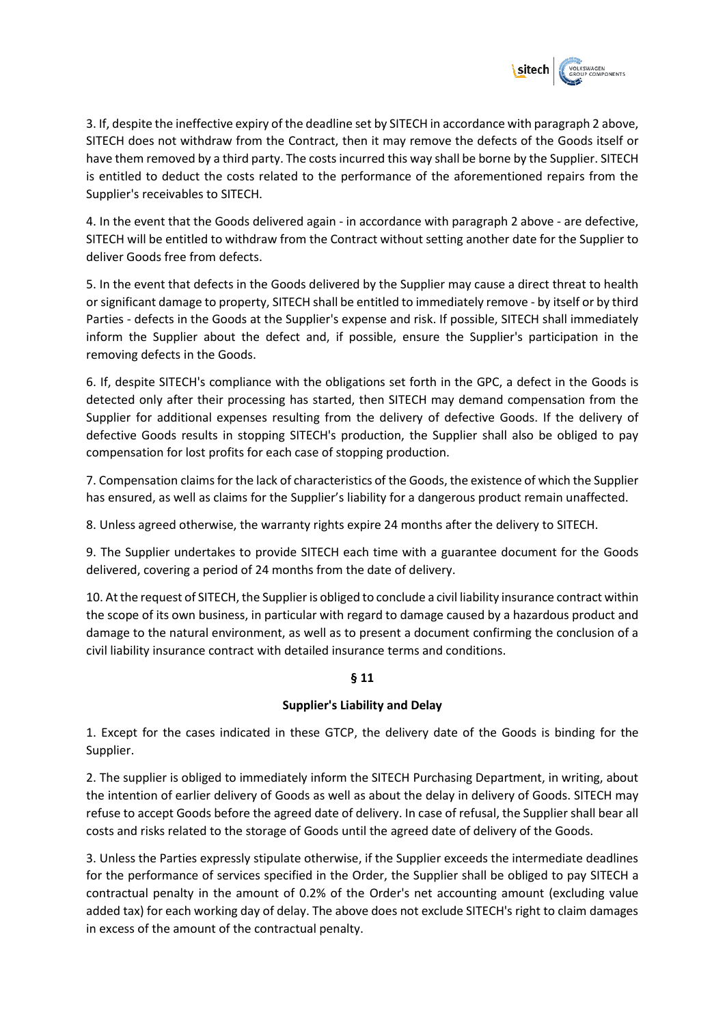

3. If, despite the ineffective expiry of the deadline set by SITECH in accordance with paragraph 2 above, SITECH does not withdraw from the Contract, then it may remove the defects of the Goods itself or have them removed by a third party. The costs incurred this way shall be borne by the Supplier. SITECH is entitled to deduct the costs related to the performance of the aforementioned repairs from the Supplier's receivables to SITECH.

4. In the event that the Goods delivered again - in accordance with paragraph 2 above - are defective, SITECH will be entitled to withdraw from the Contract without setting another date for the Supplier to deliver Goods free from defects.

5. In the event that defects in the Goods delivered by the Supplier may cause a direct threat to health or significant damage to property, SITECH shall be entitled to immediately remove - by itself or by third Parties - defects in the Goods at the Supplier's expense and risk. If possible, SITECH shall immediately inform the Supplier about the defect and, if possible, ensure the Supplier's participation in the removing defects in the Goods.

6. If, despite SITECH's compliance with the obligations set forth in the GPC, a defect in the Goods is detected only after their processing has started, then SITECH may demand compensation from the Supplier for additional expenses resulting from the delivery of defective Goods. If the delivery of defective Goods results in stopping SITECH's production, the Supplier shall also be obliged to pay compensation for lost profits for each case of stopping production.

7. Compensation claims for the lack of characteristics of the Goods, the existence of which the Supplier has ensured, as well as claims for the Supplier's liability for a dangerous product remain unaffected.

8. Unless agreed otherwise, the warranty rights expire 24 months after the delivery to SITECH.

9. The Supplier undertakes to provide SITECH each time with a guarantee document for the Goods delivered, covering a period of 24 months from the date of delivery.

10. At the request of SITECH, the Supplier is obliged to conclude a civil liability insurance contract within the scope of its own business, in particular with regard to damage caused by a hazardous product and damage to the natural environment, as well as to present a document confirming the conclusion of a civil liability insurance contract with detailed insurance terms and conditions.

## **§ 11**

### **Supplier's Liability and Delay**

1. Except for the cases indicated in these GTCP, the delivery date of the Goods is binding for the Supplier.

2. The supplier is obliged to immediately inform the SITECH Purchasing Department, in writing, about the intention of earlier delivery of Goods as well as about the delay in delivery of Goods. SITECH may refuse to accept Goods before the agreed date of delivery. In case of refusal, the Supplier shall bear all costs and risks related to the storage of Goods until the agreed date of delivery of the Goods.

3. Unless the Parties expressly stipulate otherwise, if the Supplier exceeds the intermediate deadlines for the performance of services specified in the Order, the Supplier shall be obliged to pay SITECH a contractual penalty in the amount of 0.2% of the Order's net accounting amount (excluding value added tax) for each working day of delay. The above does not exclude SITECH's right to claim damages in excess of the amount of the contractual penalty.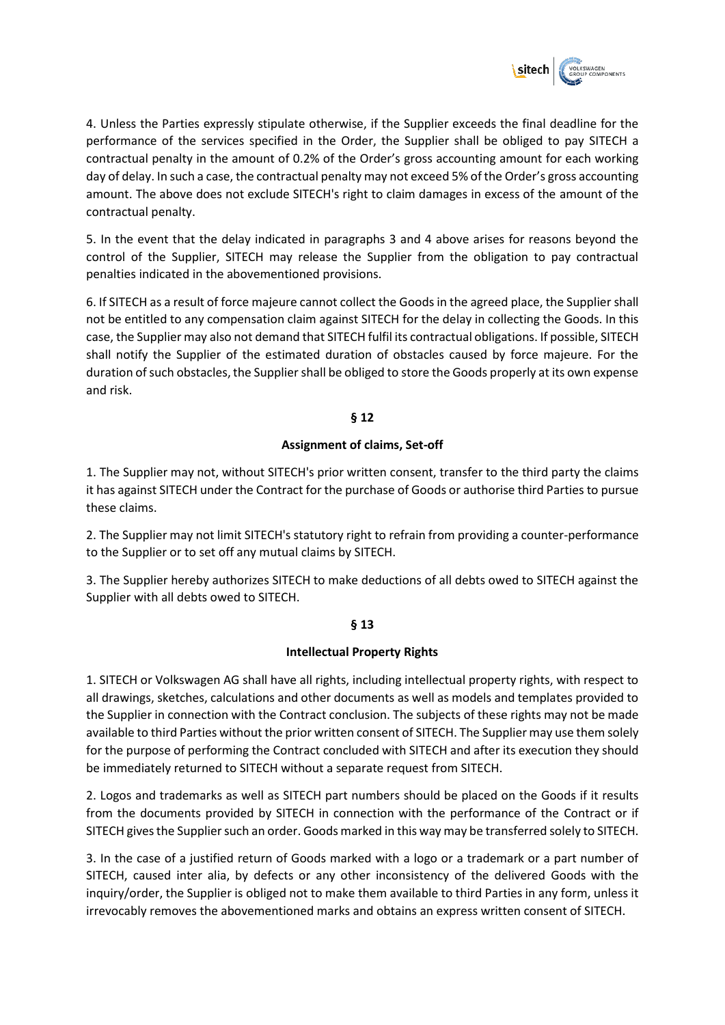

4. Unless the Parties expressly stipulate otherwise, if the Supplier exceeds the final deadline for the performance of the services specified in the Order, the Supplier shall be obliged to pay SITECH a contractual penalty in the amount of 0.2% of the Order's gross accounting amount for each working day of delay. In such a case, the contractual penalty may not exceed 5% of the Order's gross accounting amount. The above does not exclude SITECH's right to claim damages in excess of the amount of the contractual penalty.

5. In the event that the delay indicated in paragraphs 3 and 4 above arises for reasons beyond the control of the Supplier, SITECH may release the Supplier from the obligation to pay contractual penalties indicated in the abovementioned provisions.

6. If SITECH as a result of force majeure cannot collect the Goods in the agreed place, the Supplier shall not be entitled to any compensation claim against SITECH for the delay in collecting the Goods. In this case, the Supplier may also not demand that SITECH fulfil its contractual obligations. If possible, SITECH shall notify the Supplier of the estimated duration of obstacles caused by force majeure. For the duration of such obstacles, the Supplier shall be obliged to store the Goods properly at its own expense and risk.

## **§ 12**

### **Assignment of claims, Set-off**

1. The Supplier may not, without SITECH's prior written consent, transfer to the third party the claims it has against SITECH under the Contract for the purchase of Goods or authorise third Parties to pursue these claims.

2. The Supplier may not limit SITECH's statutory right to refrain from providing a counter-performance to the Supplier or to set off any mutual claims by SITECH.

3. The Supplier hereby authorizes SITECH to make deductions of all debts owed to SITECH against the Supplier with all debts owed to SITECH.

### **§ 13**

## **Intellectual Property Rights**

1. SITECH or Volkswagen AG shall have all rights, including intellectual property rights, with respect to all drawings, sketches, calculations and other documents as well as models and templates provided to the Supplier in connection with the Contract conclusion. The subjects of these rights may not be made available to third Parties without the prior written consent of SITECH. The Supplier may use them solely for the purpose of performing the Contract concluded with SITECH and after its execution they should be immediately returned to SITECH without a separate request from SITECH.

2. Logos and trademarks as well as SITECH part numbers should be placed on the Goods if it results from the documents provided by SITECH in connection with the performance of the Contract or if SITECH gives the Supplier such an order. Goods marked in this way may be transferred solely to SITECH.

3. In the case of a justified return of Goods marked with a logo or a trademark or a part number of SITECH, caused inter alia, by defects or any other inconsistency of the delivered Goods with the inquiry/order, the Supplier is obliged not to make them available to third Parties in any form, unless it irrevocably removes the abovementioned marks and obtains an express written consent of SITECH.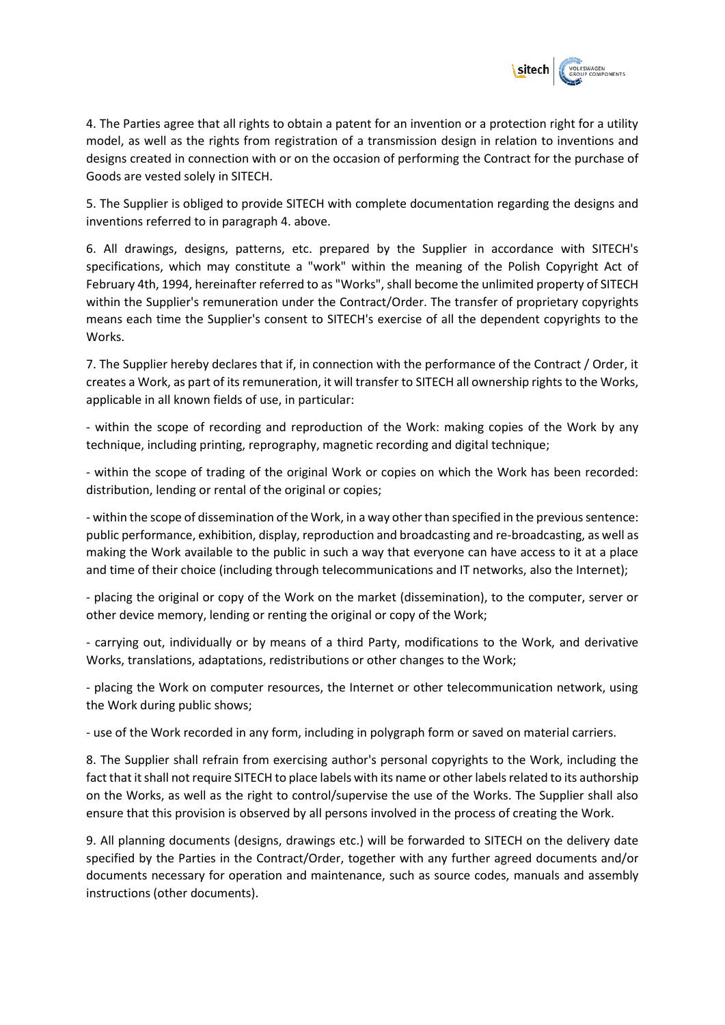

4. The Parties agree that all rights to obtain a patent for an invention or a protection right for a utility model, as well as the rights from registration of a transmission design in relation to inventions and designs created in connection with or on the occasion of performing the Contract for the purchase of Goods are vested solely in SITECH.

5. The Supplier is obliged to provide SITECH with complete documentation regarding the designs and inventions referred to in paragraph 4. above.

6. All drawings, designs, patterns, etc. prepared by the Supplier in accordance with SITECH's specifications, which may constitute a "work" within the meaning of the Polish Copyright Act of February 4th, 1994, hereinafter referred to as "Works", shall become the unlimited property of SITECH within the Supplier's remuneration under the Contract/Order. The transfer of proprietary copyrights means each time the Supplier's consent to SITECH's exercise of all the dependent copyrights to the Works.

7. The Supplier hereby declares that if, in connection with the performance of the Contract / Order, it creates a Work, as part of its remuneration, it will transfer to SITECH all ownership rights to the Works, applicable in all known fields of use, in particular:

- within the scope of recording and reproduction of the Work: making copies of the Work by any technique, including printing, reprography, magnetic recording and digital technique;

- within the scope of trading of the original Work or copies on which the Work has been recorded: distribution, lending or rental of the original or copies;

- within the scope of dissemination of the Work, in a way other than specified in the previous sentence: public performance, exhibition, display, reproduction and broadcasting and re-broadcasting, as well as making the Work available to the public in such a way that everyone can have access to it at a place and time of their choice (including through telecommunications and IT networks, also the Internet);

- placing the original or copy of the Work on the market (dissemination), to the computer, server or other device memory, lending or renting the original or copy of the Work;

- carrying out, individually or by means of a third Party, modifications to the Work, and derivative Works, translations, adaptations, redistributions or other changes to the Work;

- placing the Work on computer resources, the Internet or other telecommunication network, using the Work during public shows;

- use of the Work recorded in any form, including in polygraph form or saved on material carriers.

8. The Supplier shall refrain from exercising author's personal copyrights to the Work, including the fact that it shall not require SITECH to place labels with its name or other labels related to its authorship on the Works, as well as the right to control/supervise the use of the Works. The Supplier shall also ensure that this provision is observed by all persons involved in the process of creating the Work.

9. All planning documents (designs, drawings etc.) will be forwarded to SITECH on the delivery date specified by the Parties in the Contract/Order, together with any further agreed documents and/or documents necessary for operation and maintenance, such as source codes, manuals and assembly instructions (other documents).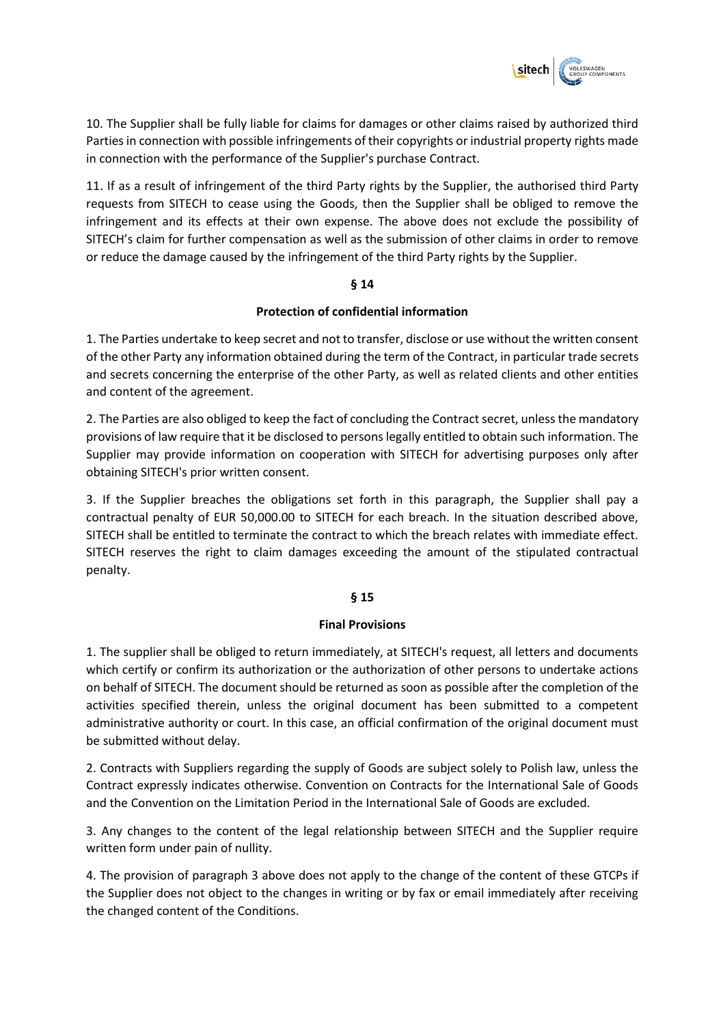

10. The Supplier shall be fully liable for claims for damages or other claims raised by authorized third Parties in connection with possible infringements of their copyrights or industrial property rights made in connection with the performance of the Supplier's purchase Contract.

11. If as a result of infringement of the third Party rights by the Supplier, the authorised third Party requests from SITECH to cease using the Goods, then the Supplier shall be obliged to remove the infringement and its effects at their own expense. The above does not exclude the possibility of SITECH's claim for further compensation as well as the submission of other claims in order to remove or reduce the damage caused by the infringement of the third Party rights by the Supplier.

### **§ 14**

### **Protection of confidential information**

1. The Parties undertake to keep secret and not to transfer, disclose or use without the written consent of the other Party any information obtained during the term of the Contract, in particular trade secrets and secrets concerning the enterprise of the other Party, as well as related clients and other entities and content of the agreement.

2. The Parties are also obliged to keep the fact of concluding the Contract secret, unless the mandatory provisions of law require that it be disclosed to persons legally entitled to obtain such information. The Supplier may provide information on cooperation with SITECH for advertising purposes only after obtaining SITECH's prior written consent.

3. If the Supplier breaches the obligations set forth in this paragraph, the Supplier shall pay a contractual penalty of EUR 50,000.00 to SITECH for each breach. In the situation described above, SITECH shall be entitled to terminate the contract to which the breach relates with immediate effect. SITECH reserves the right to claim damages exceeding the amount of the stipulated contractual penalty.

### **§ 15**

### **Final Provisions**

1. The supplier shall be obliged to return immediately, at SITECH's request, all letters and documents which certify or confirm its authorization or the authorization of other persons to undertake actions on behalf of SITECH. The document should be returned as soon as possible after the completion of the activities specified therein, unless the original document has been submitted to a competent administrative authority or court. In this case, an official confirmation of the original document must be submitted without delay.

2. Contracts with Suppliers regarding the supply of Goods are subject solely to Polish law, unless the Contract expressly indicates otherwise. Convention on Contracts for the International Sale of Goods and the Convention on the Limitation Period in the International Sale of Goods are excluded.

3. Any changes to the content of the legal relationship between SITECH and the Supplier require written form under pain of nullity.

4. The provision of paragraph 3 above does not apply to the change of the content of these GTCPs if the Supplier does not object to the changes in writing or by fax or email immediately after receiving the changed content of the Conditions.